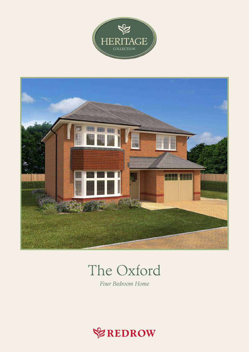



## The Oxford

Four Bedroom Home